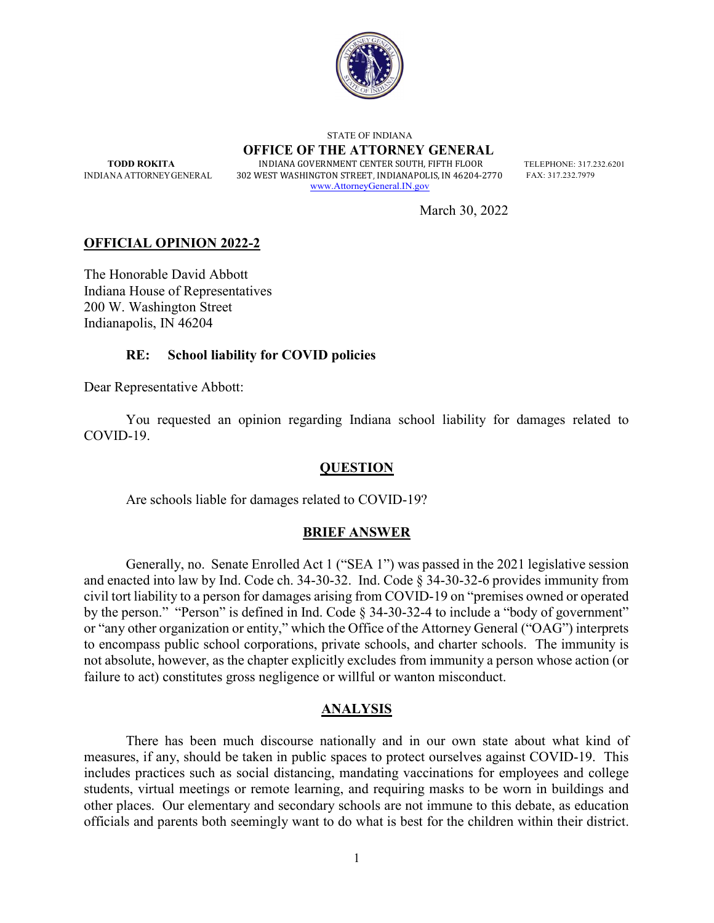

 STATE OF INDIANA OFFICE OF THE ATTORNEY GENERAL TODD ROKITA INDIANA GOVERNMENT CENTER SOUTH. FIFTH FLOOR TELEPHONE: 317.232.6201 INDIANA ATTORNEY GENERAL 302 WEST WASHINGTON STREET, INDIANAPOLIS, IN 46204-2770 FAX: 317.232.7979 www.AttorneyGeneral.IN.gov

March 30, 2022

# OFFICIAL OPINION 2022-2

The Honorable David Abbott Indiana House of Representatives 200 W. Washington Street Indianapolis, IN 46204

## RE: School liability for COVID policies

Dear Representative Abbott:

 You requested an opinion regarding Indiana school liability for damages related to COVID-19.

### **QUESTION**

Are schools liable for damages related to COVID-19?

### BRIEF ANSWER

Generally, no. Senate Enrolled Act 1 ("SEA 1") was passed in the 2021 legislative session and enacted into law by Ind. Code ch.  $34-30-32$ . Ind. Code  $\S$  34-30-32-6 provides immunity from civil tort liability to a person for damages arising from COVID-19 on "premises owned or operated by the person." "Person" is defined in Ind. Code § 34-30-32-4 to include a "body of government" or "any other organization or entity," which the Office of the Attorney General ("OAG") interprets to encompass public school corporations, private schools, and charter schools. The immunity is not absolute, however, as the chapter explicitly excludes from immunity a person whose action (or failure to act) constitutes gross negligence or willful or wanton misconduct.

#### ANALYSIS

There has been much discourse nationally and in our own state about what kind of measures, if any, should be taken in public spaces to protect ourselves against COVID-19. This includes practices such as social distancing, mandating vaccinations for employees and college students, virtual meetings or remote learning, and requiring masks to be worn in buildings and other places. Our elementary and secondary schools are not immune to this debate, as education officials and parents both seemingly want to do what is best for the children within their district.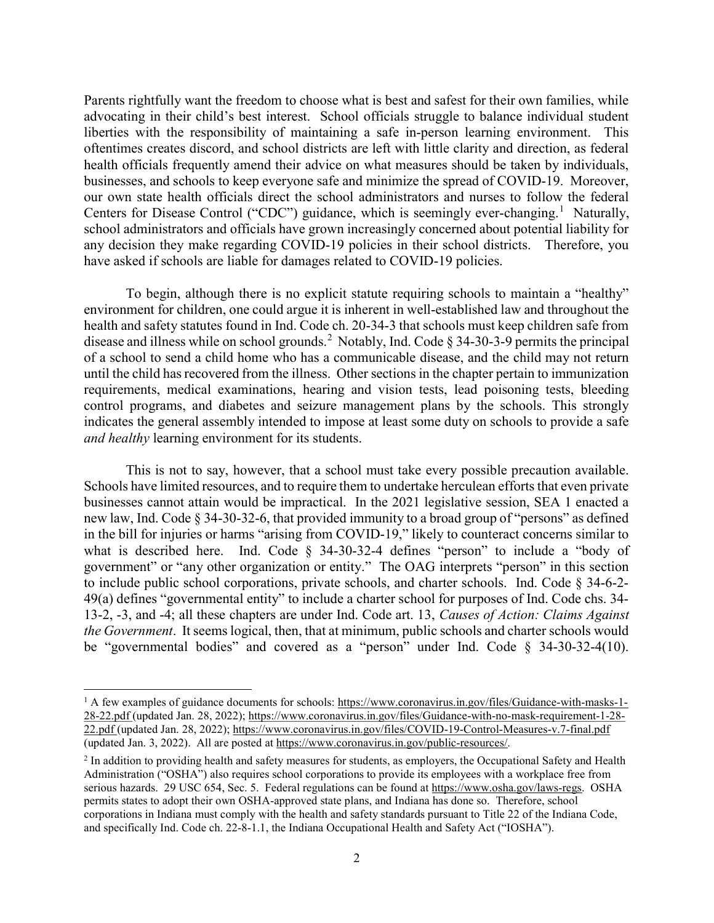Parents rightfully want the freedom to choose what is best and safest for their own families, while advocating in their child's best interest. School officials struggle to balance individual student liberties with the responsibility of maintaining a safe in-person learning environment. This oftentimes creates discord, and school districts are left with little clarity and direction, as federal health officials frequently amend their advice on what measures should be taken by individuals, businesses, and schools to keep everyone safe and minimize the spread of COVID-19. Moreover, our own state health officials direct the school administrators and nurses to follow the federal Centers for Disease Control ("CDC") guidance, which is seemingly ever-changing.<sup>1</sup> Naturally, school administrators and officials have grown increasingly concerned about potential liability for any decision they make regarding COVID-19 policies in their school districts. Therefore, you have asked if schools are liable for damages related to COVID-19 policies.

To begin, although there is no explicit statute requiring schools to maintain a "healthy" environment for children, one could argue it is inherent in well-established law and throughout the health and safety statutes found in Ind. Code ch. 20-34-3 that schools must keep children safe from disease and illness while on school grounds.<sup>2</sup> Notably, Ind. Code  $\S 34-30-3-9$  permits the principal of a school to send a child home who has a communicable disease, and the child may not return until the child has recovered from the illness. Other sections in the chapter pertain to immunization requirements, medical examinations, hearing and vision tests, lead poisoning tests, bleeding control programs, and diabetes and seizure management plans by the schools. This strongly indicates the general assembly intended to impose at least some duty on schools to provide a safe and healthy learning environment for its students.

This is not to say, however, that a school must take every possible precaution available. Schools have limited resources, and to require them to undertake herculean efforts that even private businesses cannot attain would be impractical. In the 2021 legislative session, SEA 1 enacted a new law, Ind. Code § 34-30-32-6, that provided immunity to a broad group of "persons" as defined in the bill for injuries or harms "arising from COVID-19," likely to counteract concerns similar to what is described here. Ind. Code § 34-30-32-4 defines "person" to include a "body of government" or "any other organization or entity." The OAG interprets "person" in this section to include public school corporations, private schools, and charter schools. Ind. Code § 34-6-2- 49(a) defines "governmental entity" to include a charter school for purposes of Ind. Code chs. 34- 13-2, -3, and -4; all these chapters are under Ind. Code art. 13, Causes of Action: Claims Against the Government. It seems logical, then, that at minimum, public schools and charter schools would be "governmental bodies" and covered as a "person" under Ind. Code § 34-30-32-4(10).

<sup>&</sup>lt;sup>1</sup> A few examples of guidance documents for schools: https://www.coronavirus.in.gov/files/Guidance-with-masks-1-28-22.pdf (updated Jan. 28, 2022); https://www.coronavirus.in.gov/files/Guidance-with-no-mask-requirement-1-28- 22.pdf (updated Jan. 28, 2022); https://www.coronavirus.in.gov/files/COVID-19-Control-Measures-v.7-final.pdf (updated Jan. 3, 2022). All are posted at https://www.coronavirus.in.gov/public-resources/.

 $<sup>2</sup>$  In addition to providing health and safety measures for students, as employers, the Occupational Safety and Health</sup> Administration ("OSHA") also requires school corporations to provide its employees with a workplace free from serious hazards. 29 USC 654, Sec. 5. Federal regulations can be found at https://www.osha.gov/laws-regs. OSHA permits states to adopt their own OSHA-approved state plans, and Indiana has done so. Therefore, school corporations in Indiana must comply with the health and safety standards pursuant to Title 22 of the Indiana Code, and specifically Ind. Code ch. 22-8-1.1, the Indiana Occupational Health and Safety Act ("IOSHA").